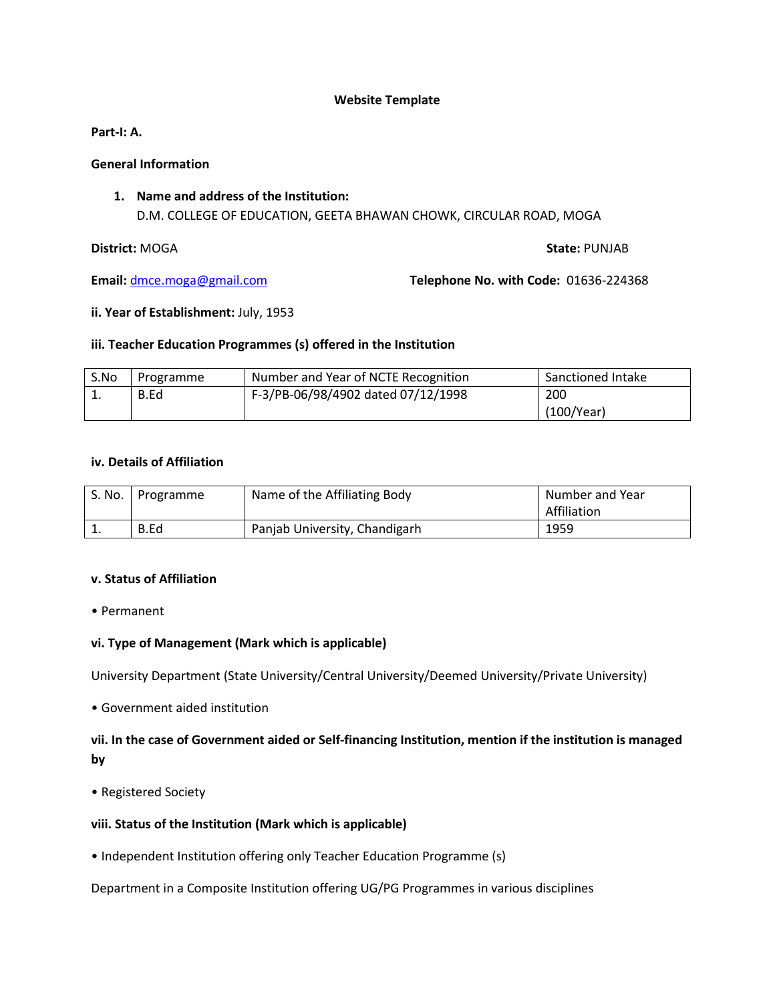#### **Website Template**

**Part-I: A.** 

#### **General Information**

**1. Name and address of the Institution:** D.M. COLLEGE OF EDUCATION, GEETA BHAWAN CHOWK, CIRCULAR ROAD, MOGA

#### **District:** MOGA **State:** PUNJAB

**Email:** dmce.moga@gmail.com **Telephone No. with Code:** 01636-224368

#### **ii. Year of Establishment:** July, 1953

#### **iii. Teacher Education Programmes (s) offered in the Institution**

| S.No | Programme | Number and Year of NCTE Recognition | Sanctioned Intake |
|------|-----------|-------------------------------------|-------------------|
| ᅩ.   | B.Ed      | F-3/PB-06/98/4902 dated 07/12/1998  | 200               |
|      |           |                                     | (100/Year)        |

#### **iv. Details of Affiliation**

|          | S. No.   Programme | Name of the Affiliating Body  | Number and Year |
|----------|--------------------|-------------------------------|-----------------|
|          |                    |                               | Affiliation     |
| <b>.</b> | B.Ed               | Panjab University, Chandigarh | 1959            |

#### **v. Status of Affiliation**

• Permanent

## **vi. Type of Management (Mark which is applicable)**

University Department (State University/Central University/Deemed University/Private University)

• Government aided institution

**vii. In the case of Government aided or Self-financing Institution, mention if the institution is managed by** 

• Registered Society

## **viii. Status of the Institution (Mark which is applicable)**

• Independent Institution offering only Teacher Education Programme (s)

Department in a Composite Institution offering UG/PG Programmes in various disciplines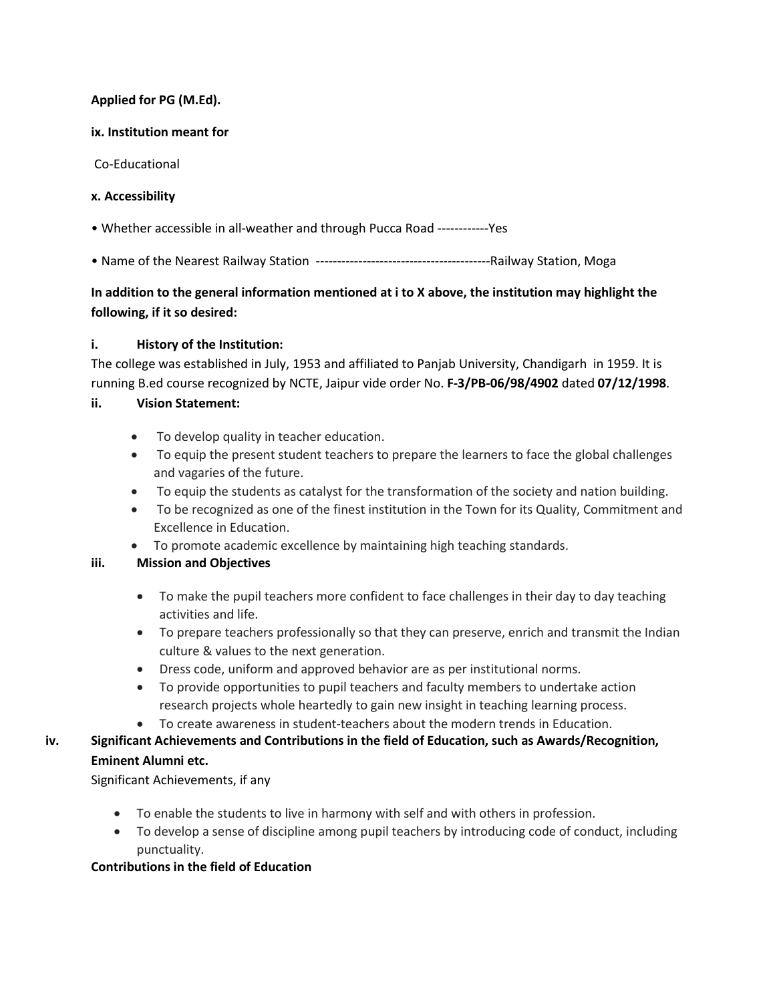## **Applied for PG (M.Ed).**

## **ix. Institution meant for**

Co-Educational

## **x. Accessibility**

- Whether accessible in all-weather and through Pucca Road ------------Yes
- Name of the Nearest Railway Station -----------------------------------------Railway Station, Moga

# **In addition to the general information mentioned at i to X above, the institution may highlight the following, if it so desired:**

## **i. History of the Institution:**

The college was established in July, 1953 and affiliated to Panjab University, Chandigarh in 1959. It is running B.ed course recognized by NCTE, Jaipur vide order No. **F-3/PB-06/98/4902** dated **07/12/1998**.

## **ii. Vision Statement:**

- To develop quality in teacher education.
- To equip the present student teachers to prepare the learners to face the global challenges and vagaries of the future.
- To equip the students as catalyst for the transformation of the society and nation building.
- To be recognized as one of the finest institution in the Town for its Quality, Commitment and Excellence in Education.
- To promote academic excellence by maintaining high teaching standards.

## **iii. Mission and Objectives**

- To make the pupil teachers more confident to face challenges in their day to day teaching activities and life.
- To prepare teachers professionally so that they can preserve, enrich and transmit the Indian culture & values to the next generation.
- Dress code, uniform and approved behavior are as per institutional norms.
- To provide opportunities to pupil teachers and faculty members to undertake action research projects whole heartedly to gain new insight in teaching learning process.
- To create awareness in student-teachers about the modern trends in Education.

# **iv. Significant Achievements and Contributions in the field of Education, such as Awards/Recognition,**

## **Eminent Alumni etc.**

Significant Achievements, if any

- To enable the students to live in harmony with self and with others in profession.
- To develop a sense of discipline among pupil teachers by introducing code of conduct, including punctuality.

## **Contributions in the field of Education**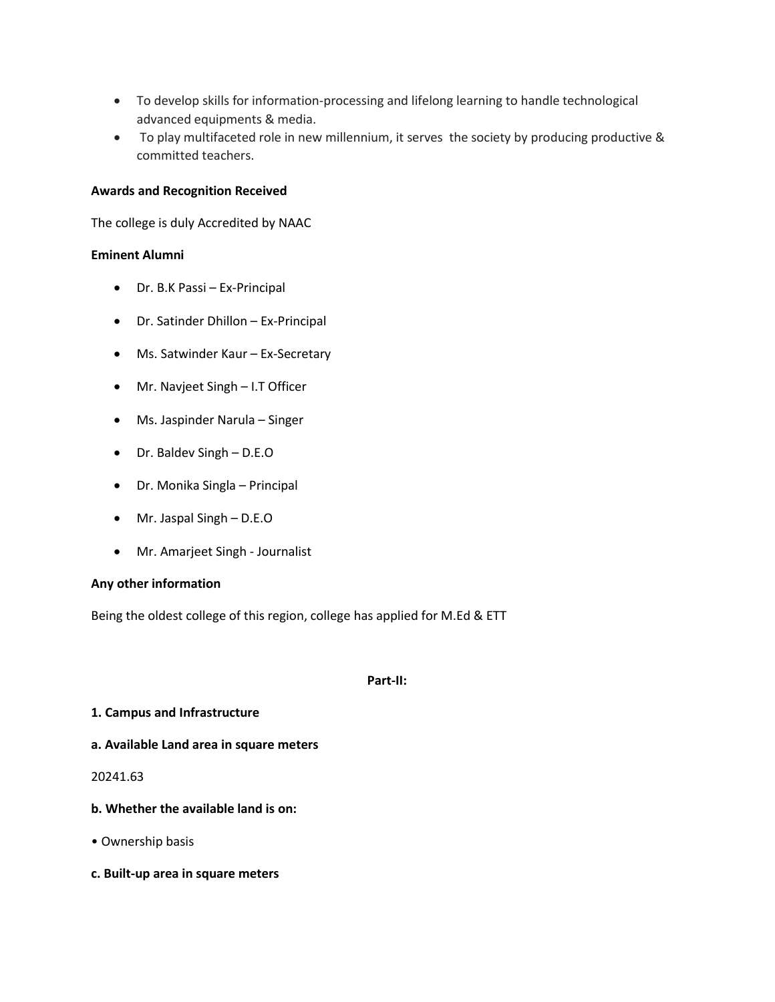- To develop skills for information-processing and lifelong learning to handle technological advanced equipments & media.
- To play multifaceted role in new millennium, it serves the society by producing productive & committed teachers.

#### **Awards and Recognition Received**

The college is duly Accredited by NAAC

#### **Eminent Alumni**

- Dr. B.K Passi Ex-Principal
- Dr. Satinder Dhillon Ex-Principal
- Ms. Satwinder Kaur Ex-Secretary
- Mr. Navjeet Singh I.T Officer
- Ms. Jaspinder Narula Singer
- Dr. Baldev Singh D.E.O
- Dr. Monika Singla Principal
- Mr. Jaspal Singh D.E.O
- Mr. Amarjeet Singh Journalist

#### **Any other information**

Being the oldest college of this region, college has applied for M.Ed & ETT

#### **Part-II:**

#### **1. Campus and Infrastructure**

**a. Available Land area in square meters**

#### 20241.63

- **b. Whether the available land is on:**
- Ownership basis
- **c. Built-up area in square meters**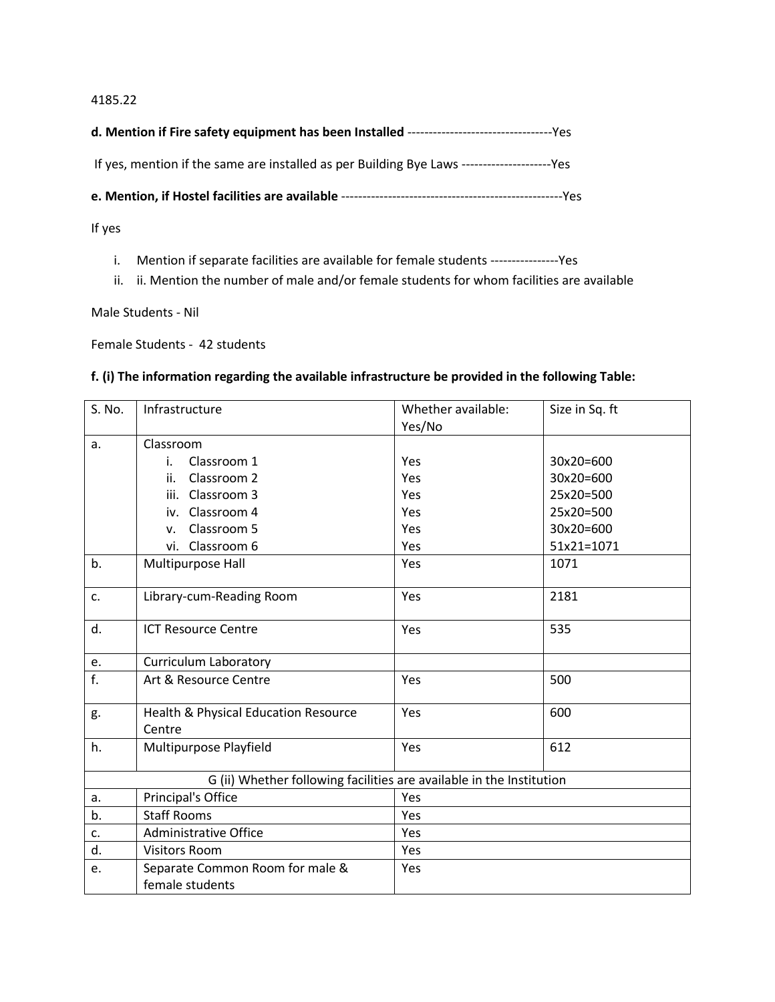#### 4185.22

| If yes, mention if the same are installed as per Building Bye Laws --------------------------------- |
|------------------------------------------------------------------------------------------------------|

**e. Mention, if Hostel facilities are available** ----------------------------------------------------Yes

If yes

- i. Mention if separate facilities are available for female students ----------------Yes
- ii. ii. Mention the number of male and/or female students for whom facilities are available

Male Students - Nil

Female Students - 42 students

## **f. (i) The information regarding the available infrastructure be provided in the following Table:**

| S. No.           | Infrastructure                                                       | Whether available: | Size in Sq. ft |
|------------------|----------------------------------------------------------------------|--------------------|----------------|
|                  |                                                                      | Yes/No             |                |
| a.               | Classroom                                                            |                    |                |
|                  | Classroom 1<br>i.                                                    | Yes                | 30x20=600      |
|                  | Classroom 2<br>ii.                                                   | Yes                | 30x20=600      |
|                  | iii. Classroom 3                                                     | Yes                | 25x20=500      |
|                  | iv. Classroom 4                                                      | Yes                | 25x20=500      |
|                  | Classroom 5<br>v.                                                    | Yes                | 30x20=600      |
|                  | vi. Classroom 6                                                      | Yes                | 51x21=1071     |
| b.               | Multipurpose Hall                                                    | Yes                | 1071           |
| c.               | Library-cum-Reading Room                                             | Yes                | 2181           |
| d.               | <b>ICT Resource Centre</b>                                           | Yes                | 535            |
| e.               | <b>Curriculum Laboratory</b>                                         |                    |                |
| $\overline{f}$ . | Art & Resource Centre                                                | Yes                | 500            |
| g.               | Health & Physical Education Resource<br>Centre                       | Yes                | 600            |
| h.               | Multipurpose Playfield                                               | Yes                | 612            |
|                  | G (ii) Whether following facilities are available in the Institution |                    |                |
| a.               | Principal's Office                                                   | Yes                |                |
| b.               | <b>Staff Rooms</b>                                                   | Yes                |                |
| c.               | <b>Administrative Office</b>                                         | Yes                |                |
| d.               | <b>Visitors Room</b>                                                 | Yes                |                |
| e.               | Separate Common Room for male &                                      | Yes                |                |
|                  | female students                                                      |                    |                |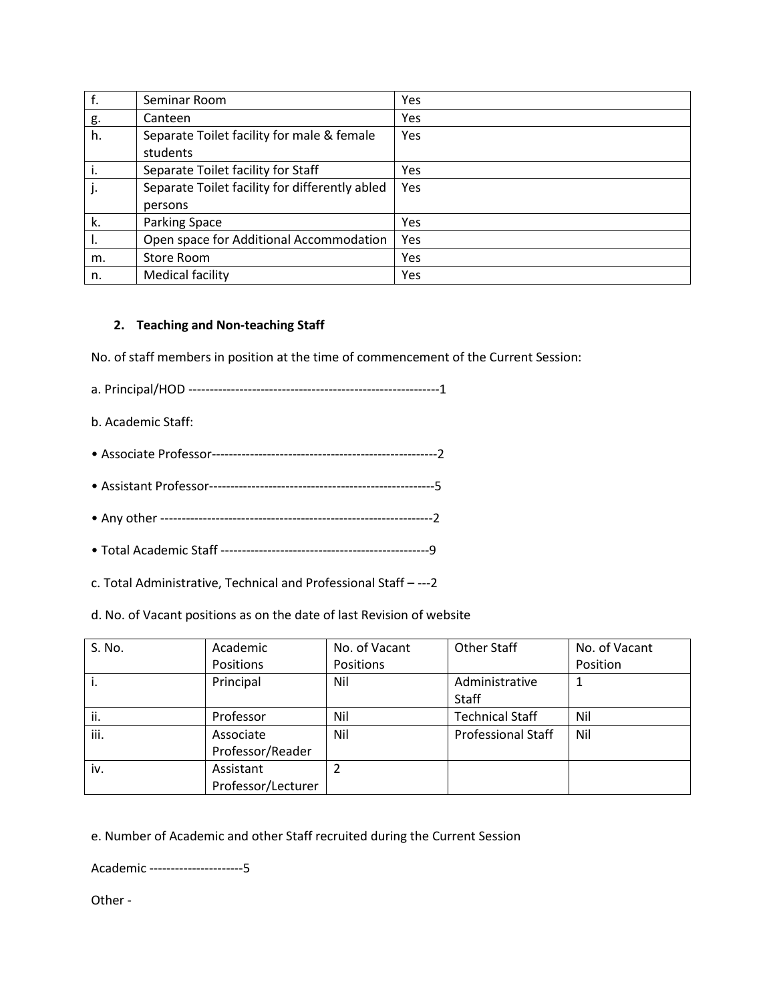|    | Seminar Room                                   | Yes |
|----|------------------------------------------------|-----|
| g. | Canteen                                        | Yes |
| h. | Separate Toilet facility for male & female     | Yes |
|    | students                                       |     |
|    | Separate Toilet facility for Staff             | Yes |
|    | Separate Toilet facility for differently abled | Yes |
|    | persons                                        |     |
| k. | <b>Parking Space</b>                           | Yes |
|    | Open space for Additional Accommodation        | Yes |
| m. | Store Room                                     | Yes |
| n. | Medical facility                               | Yes |

## **2. Teaching and Non-teaching Staff**

No. of staff members in position at the time of commencement of the Current Session:

a. Principal/HOD -----------------------------------------------------------1

- b. Academic Staff:
- Associate Professor-----------------------------------------------------2
- Assistant Professor-----------------------------------------------------5
- Any other ----------------------------------------------------------------2
- Total Academic Staff -------------------------------------------------9
- c. Total Administrative, Technical and Professional Staff ---2

d. No. of Vacant positions as on the date of last Revision of website

| S. No. | Academic           | No. of Vacant | Other Staff               | No. of Vacant |
|--------|--------------------|---------------|---------------------------|---------------|
|        | Positions          | Positions     |                           | Position      |
| İ.     | Principal          | Nil           | Administrative            |               |
|        |                    |               | Staff                     |               |
| ii.    | Professor          | Nil           | <b>Technical Staff</b>    | Nil           |
| iii.   | Associate          | Nil           | <b>Professional Staff</b> | Nil           |
|        | Professor/Reader   |               |                           |               |
| iv.    | Assistant          |               |                           |               |
|        | Professor/Lecturer |               |                           |               |

e. Number of Academic and other Staff recruited during the Current Session

Academic ----------------------5

Other -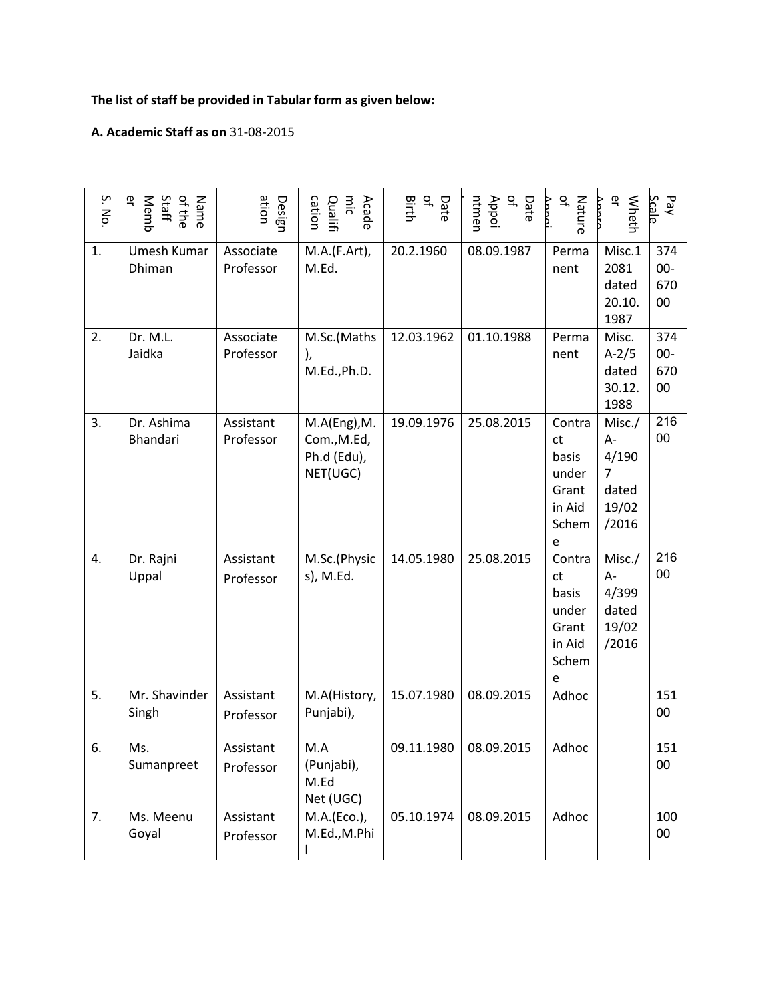# **The list of staff be provided in Tabular form as given below:**

## **A. Academic Staff as on** 31-08-2015

| S. No. | ٩F<br>Staff<br>Name<br>of the<br>Memb | ation<br>Design        | cation<br>mic<br>Qualifi<br>Acade                      | $\vec{\sigma}$<br>Birth<br>Date | $\overline{\sigma}$<br>ntmen<br>Appoi<br>Date | $\overline{a}$<br>Nature                                        | ቧ<br>Wheth<br>Vnnro                                                | Pay<br><b>Scale</b>        |
|--------|---------------------------------------|------------------------|--------------------------------------------------------|---------------------------------|-----------------------------------------------|-----------------------------------------------------------------|--------------------------------------------------------------------|----------------------------|
| 1.     | Umesh Kumar<br>Dhiman                 | Associate<br>Professor | M.A.(F.Art),<br>M.Ed.                                  | 20.2.1960                       | 08.09.1987                                    | Perma<br>nent                                                   | Misc.1<br>2081<br>dated<br>20.10.<br>1987                          | 374<br>$00 -$<br>670<br>00 |
| 2.     | Dr. M.L.<br>Jaidka                    | Associate<br>Professor | M.Sc.(Maths<br>),<br>M.Ed., Ph.D.                      | 12.03.1962                      | 01.10.1988                                    | Perma<br>nent                                                   | Misc.<br>$A-2/5$<br>dated<br>30.12.<br>1988                        | 374<br>$00-$<br>670<br>00  |
| 3.     | Dr. Ashima<br>Bhandari                | Assistant<br>Professor | M.A(Eng), M.<br>Com., M.Ed,<br>Ph.d (Edu),<br>NET(UGC) | 19.09.1976                      | 25.08.2015                                    | Contra<br>ct<br>basis<br>under<br>Grant<br>in Aid<br>Schem<br>e | Misc./<br>А-<br>4/190<br>$\overline{7}$<br>dated<br>19/02<br>/2016 | 216<br>00                  |
| 4.     | Dr. Rajni<br>Uppal                    | Assistant<br>Professor | M.Sc.(Physic<br>s), M.Ed.                              | 14.05.1980                      | 25.08.2015                                    | Contra<br>ct<br>basis<br>under<br>Grant<br>in Aid<br>Schem<br>e | Misc./<br>A-<br>4/399<br>dated<br>19/02<br>/2016                   | 216<br>00                  |
| 5.     | Mr. Shavinder<br>Singh                | Assistant<br>Professor | M.A(History,<br>Punjabi),                              | 15.07.1980                      | 08.09.2015                                    | Adhoc                                                           |                                                                    | 151<br>00                  |
| 6.     | Ms.<br>Sumanpreet                     | Assistant<br>Professor | M.A<br>(Punjabi),<br>M.Ed<br>Net (UGC)                 | 09.11.1980                      | 08.09.2015                                    | Adhoc                                                           |                                                                    | 151<br>00                  |
| 7.     | Ms. Meenu<br>Goyal                    | Assistant<br>Professor | M.A.(Eco.),<br>M.Ed., M.Phi<br>ı                       | 05.10.1974                      | 08.09.2015                                    | Adhoc                                                           |                                                                    | 100<br>00                  |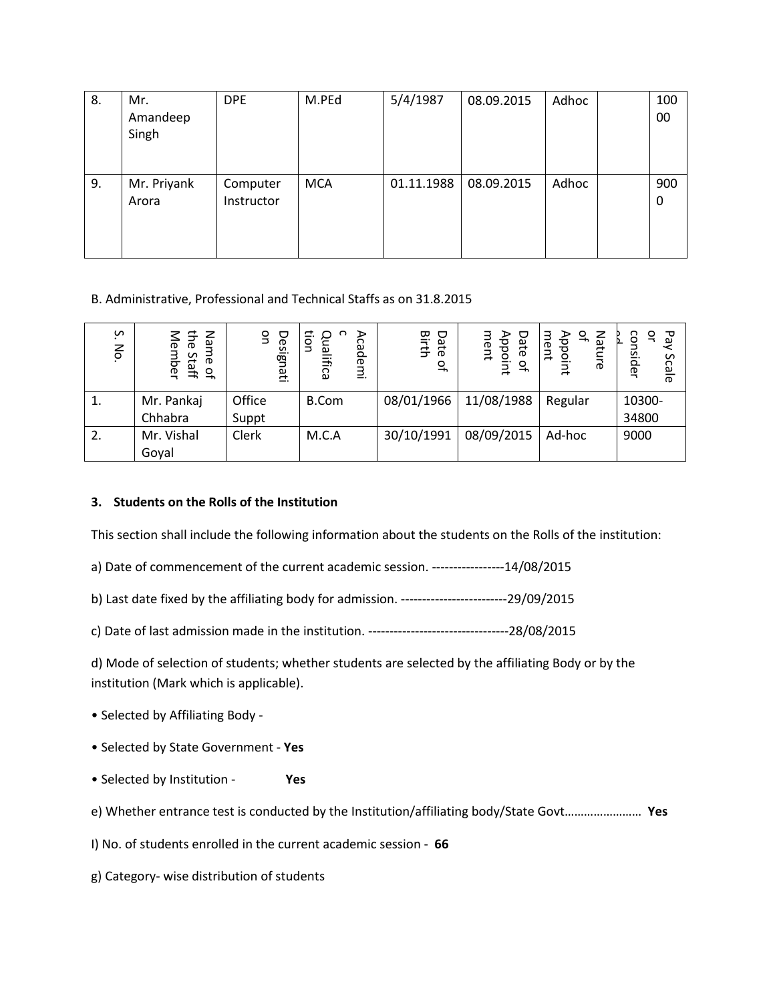| 8. | Mr.<br>Amandeep<br>Singh | <b>DPE</b>             | M.PEd      | 5/4/1987   | 08.09.2015 | Adhoc | 100<br>00 |
|----|--------------------------|------------------------|------------|------------|------------|-------|-----------|
| 9. | Mr. Priyank<br>Arora     | Computer<br>Instructor | <b>MCA</b> | 01.11.1988 | 08.09.2015 | Adhoc | 900<br>0  |

## B. Administrative, Professional and Technical Staffs as on 31.8.2015

| S<br>No.         | the<br>z<br>മ<br>lember<br>ඝ<br>Staff<br>$\overline{\sigma}$ | S<br>ヮ<br>esignati | ⋗<br>응<br>ဥ<br>o<br>cademi<br>Б<br>உ<br>lifica | Date<br>Birth<br>$\overline{\sigma}$ | ment<br>Date<br>Appoint<br>$\Gamma$ | z<br>♀<br>ment<br>Appo<br>lature<br>₹ | Ъq<br>ఇ<br>consider<br>Scale |
|------------------|--------------------------------------------------------------|--------------------|------------------------------------------------|--------------------------------------|-------------------------------------|---------------------------------------|------------------------------|
| $\overline{1}$ . | Mr. Pankaj                                                   | Office             | B.Com                                          | 08/01/1966                           | 11/08/1988                          | Regular                               | 10300-                       |
|                  | Chhabra                                                      | Suppt              |                                                |                                      |                                     |                                       | 34800                        |
| 2.               | Mr. Vishal                                                   | Clerk              | M.C.A                                          | 30/10/1991                           | 08/09/2015                          | Ad-hoc                                | 9000                         |
|                  | Goyal                                                        |                    |                                                |                                      |                                     |                                       |                              |

## **3. Students on the Rolls of the Institution**

This section shall include the following information about the students on the Rolls of the institution:

a) Date of commencement of the current academic session. -----------------14/08/2015

b) Last date fixed by the affiliating body for admission. -------------------------29/09/2015

c) Date of last admission made in the institution. ---------------------------------28/08/2015

d) Mode of selection of students; whether students are selected by the affiliating Body or by the institution (Mark which is applicable).

- Selected by Affiliating Body -
- Selected by State Government **Yes**
- Selected by Institution **Yes**
- e) Whether entrance test is conducted by the Institution/affiliating body/State Govt…………………… **Yes**

I) No. of students enrolled in the current academic session - **66**

g) Category- wise distribution of students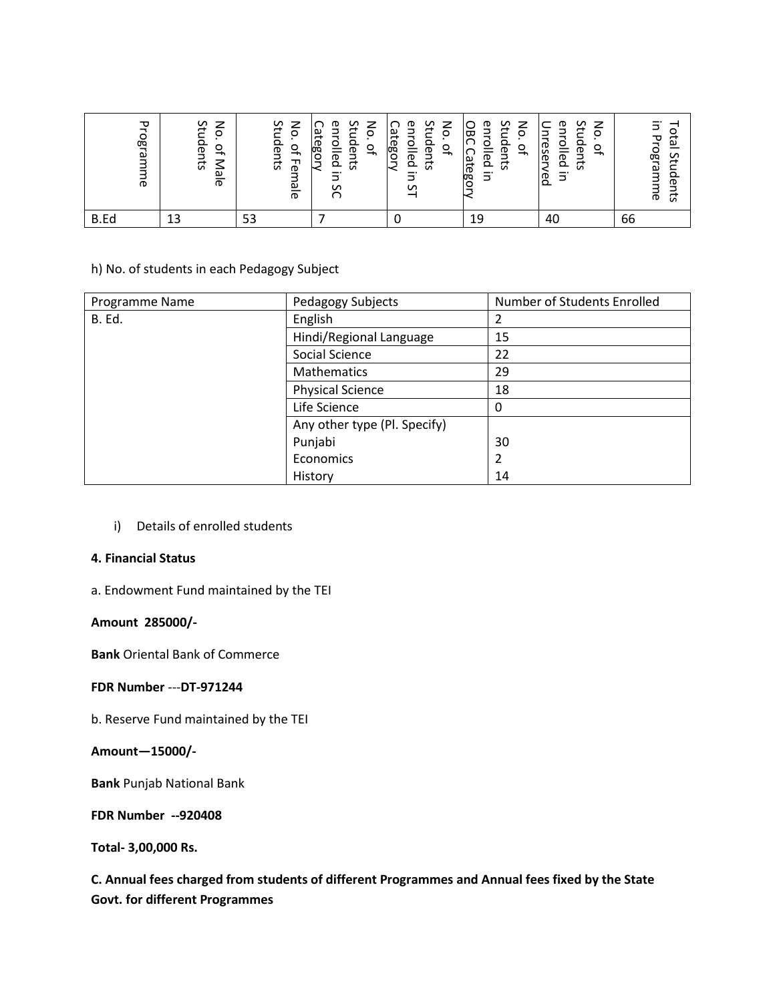| ᠊ᠣ<br>ogra<br>$\sigma$ | Students<br>z<br>$\circ$<br>$\circ$<br>⇥<br>7<br>ale | ξ'n<br>$\mathsf{S}$<br>Ω<br>of Fer<br>lents<br>ale | Students<br>중<br>eυτ<br>ategor<br>을<br>$\Gamma$<br>$\Omega$<br>ვ | Students<br>$\mathsf{S}$<br>enrolled<br>Category<br>$\Gamma$<br>S | n<br>ξ<br>₾<br>င္တ<br>≃<br>O<br>$Q_{\uparrow}$<br>G<br>ြု<br>ര<br>ದ<br>௨<br>rtego<br>Ξ. | Stu<br>z<br>മ<br>nrolled<br>₹<br>O<br>den<br>eser<br>$\Gamma$<br>ਕ<br>√eq<br>Ξ. | Ξ.<br>o<br>Programm<br>한<br>ŞĻ<br>≏<br>ወ<br>₿,<br>ᅙ<br>S |
|------------------------|------------------------------------------------------|----------------------------------------------------|------------------------------------------------------------------|-------------------------------------------------------------------|-----------------------------------------------------------------------------------------|---------------------------------------------------------------------------------|----------------------------------------------------------|
| B.Ed                   |                                                      | 53                                                 |                                                                  |                                                                   | 19                                                                                      | 40                                                                              | 66                                                       |

## h) No. of students in each Pedagogy Subject

| Programme                                                                                                                                                                                                                                                                                                                                  | Students<br>No. of Male                     | Students | No. of Female                                                   | <b>Category</b><br>enrolled in SC<br>Students<br>No. of | <b>Category</b><br>enrolled in ST<br>No. of<br>Students | OBC Category<br>enrolled in | Students<br>No. of | Unreserved<br>enrolled in<br>Students<br>No. of                                                 | Total Students<br>in Programme |
|--------------------------------------------------------------------------------------------------------------------------------------------------------------------------------------------------------------------------------------------------------------------------------------------------------------------------------------------|---------------------------------------------|----------|-----------------------------------------------------------------|---------------------------------------------------------|---------------------------------------------------------|-----------------------------|--------------------|-------------------------------------------------------------------------------------------------|--------------------------------|
| B.Ed                                                                                                                                                                                                                                                                                                                                       | 13                                          | 53       |                                                                 | $\overline{7}$                                          | $\mathbf 0$                                             | 19                          |                    | 40                                                                                              | 66                             |
|                                                                                                                                                                                                                                                                                                                                            | h) No. of students in each Pedagogy Subject |          |                                                                 |                                                         |                                                         |                             |                    |                                                                                                 |                                |
| Programme Name                                                                                                                                                                                                                                                                                                                             |                                             |          |                                                                 | Pedagogy Subjects                                       |                                                         |                             | $\overline{2}$     | Number of Students Enrolled                                                                     |                                |
| B. Ed.                                                                                                                                                                                                                                                                                                                                     |                                             |          | English                                                         |                                                         |                                                         |                             | 15                 |                                                                                                 |                                |
|                                                                                                                                                                                                                                                                                                                                            |                                             |          |                                                                 | Hindi/Regional Language<br>Social Science               |                                                         |                             | 22                 |                                                                                                 |                                |
|                                                                                                                                                                                                                                                                                                                                            |                                             |          |                                                                 | Mathematics                                             |                                                         |                             | 29                 |                                                                                                 |                                |
|                                                                                                                                                                                                                                                                                                                                            |                                             |          |                                                                 | <b>Physical Science</b>                                 |                                                         |                             | 18                 |                                                                                                 |                                |
|                                                                                                                                                                                                                                                                                                                                            |                                             |          |                                                                 | Life Science                                            |                                                         |                             | 0                  |                                                                                                 |                                |
|                                                                                                                                                                                                                                                                                                                                            |                                             |          | Any other type (Pl. Specify)<br>Punjabi<br>Economics<br>History |                                                         |                                                         | 30<br>$\overline{2}$<br>14  |                    |                                                                                                 |                                |
| Details of enrolled students<br>$\mathsf{i}$<br><b>4. Financial Status</b><br>a. Endowment Fund maintained by the TEI<br>Amount 285000/-<br><b>Bank Oriental Bank of Commerce</b><br>FDR Number --- DT-971244<br>b. Reserve Fund maintained by the TEI<br>Amount-15000/-<br><b>Bank Punjab National Bank</b><br><b>FDR Number --920408</b> |                                             |          |                                                                 |                                                         |                                                         |                             |                    |                                                                                                 |                                |
|                                                                                                                                                                                                                                                                                                                                            | <b>Govt. for different Programmes</b>       |          |                                                                 |                                                         |                                                         |                             |                    | C. Annual fees charged from students of different Programmes and Annual fees fixed by the State |                                |

## **4. Financial Status**

## a. Endowment Fund maintained by the TEI

## **Amount 285000/-**

## **FDR Number** ---**DT-971244**

## **Amount—15000/-**

## **FDR Number --920408**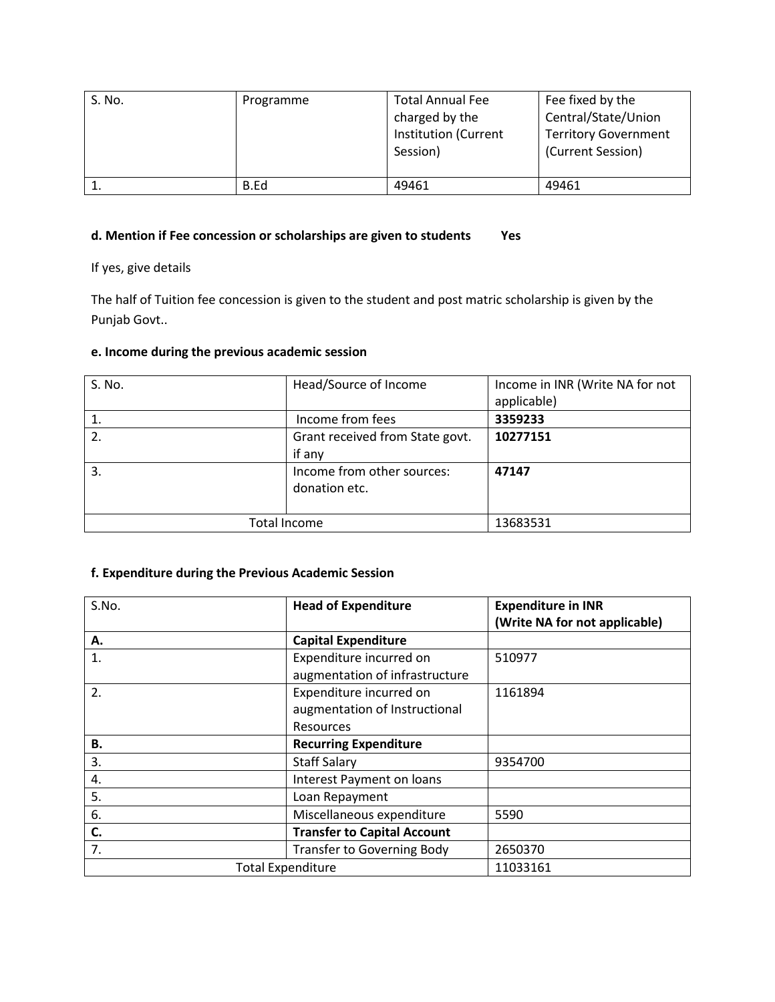| S. No. | Programme | <b>Total Annual Fee</b><br>charged by the<br><b>Institution (Current</b><br>Session) | Fee fixed by the<br>Central/State/Union<br><b>Territory Government</b><br>(Current Session) |
|--------|-----------|--------------------------------------------------------------------------------------|---------------------------------------------------------------------------------------------|
|        | B.Ed      | 49461                                                                                | 49461                                                                                       |

# **d. Mention if Fee concession or scholarships are given to students Yes**

If yes, give details

The half of Tuition fee concession is given to the student and post matric scholarship is given by the Punjab Govt..

## **e. Income during the previous academic session**

| S. No.           | Head/Source of Income           | Income in INR (Write NA for not |  |
|------------------|---------------------------------|---------------------------------|--|
|                  |                                 | applicable)                     |  |
|                  | Income from fees                | 3359233                         |  |
| $\overline{2}$ . | Grant received from State govt. | 10277151                        |  |
|                  | if any                          |                                 |  |
| 3.               | Income from other sources:      | 47147                           |  |
|                  | donation etc.                   |                                 |  |
|                  |                                 |                                 |  |
| Total Income     |                                 | 13683531                        |  |

# **f. Expenditure during the Previous Academic Session**

| S.No. | <b>Head of Expenditure</b>         | <b>Expenditure in INR</b>     |  |
|-------|------------------------------------|-------------------------------|--|
|       |                                    | (Write NA for not applicable) |  |
| А.    | <b>Capital Expenditure</b>         |                               |  |
| 1.    | Expenditure incurred on            | 510977                        |  |
|       | augmentation of infrastructure     |                               |  |
| 2.    | Expenditure incurred on            | 1161894                       |  |
|       | augmentation of Instructional      |                               |  |
|       | Resources                          |                               |  |
| В.    | <b>Recurring Expenditure</b>       |                               |  |
| 3.    | <b>Staff Salary</b>                | 9354700                       |  |
| 4.    | Interest Payment on loans          |                               |  |
| 5.    | Loan Repayment                     |                               |  |
| 6.    | Miscellaneous expenditure          | 5590                          |  |
| C.    | <b>Transfer to Capital Account</b> |                               |  |
| 7.    | <b>Transfer to Governing Body</b>  | 2650370                       |  |
|       | <b>Total Expenditure</b>           | 11033161                      |  |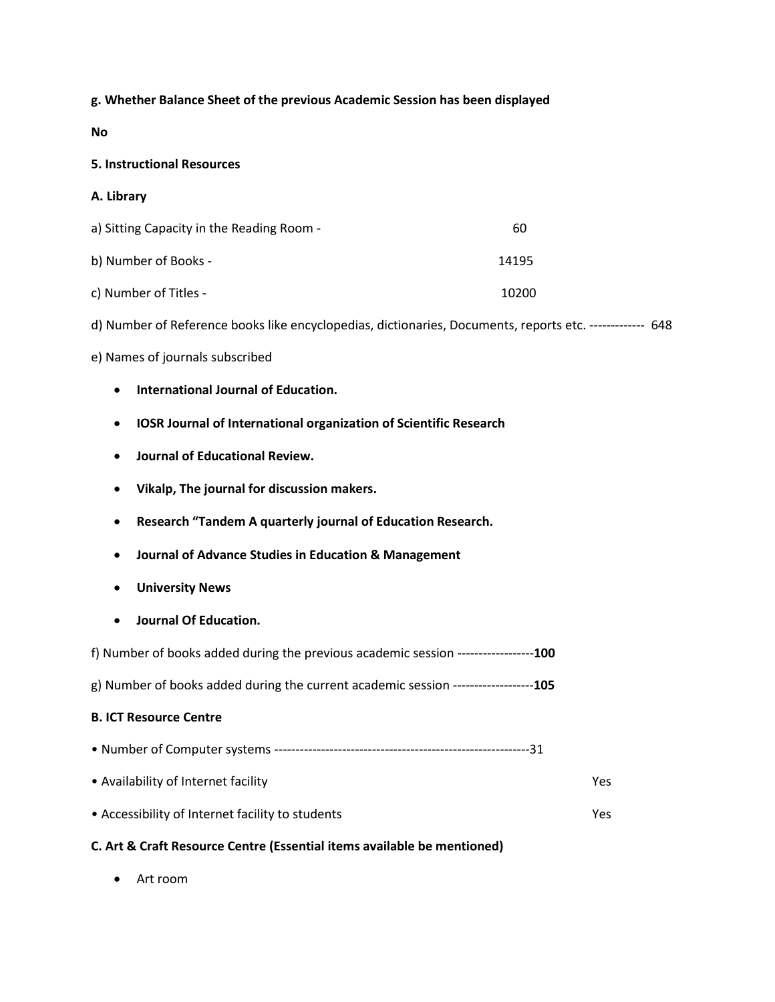## **g. Whether Balance Sheet of the previous Academic Session has been displayed**

**No** 

#### **5. Instructional Resources**

- **A. Library**
- a) Sitting Capacity in the Reading Room 60 b) Number of Books - 14195 c) Number of Titles - 10200
- 
- d) Number of Reference books like encyclopedias, dictionaries, Documents, reports etc. ------------- 648

#### e) Names of journals subscribed

- **International Journal of Education.**
- **IOSR Journal of International organization of Scientific Research**
- **Journal of Educational Review.**
- **Vikalp, The journal for discussion makers.**
- **Research "Tandem A quarterly journal of Education Research.**
- **Journal of Advance Studies in Education & Management**
- **University News**
- **Journal Of Education.**

| f) Number of books added during the previous academic session -----------------100 |  |
|------------------------------------------------------------------------------------|--|
|------------------------------------------------------------------------------------|--|

g) Number of books added during the current academic session -------------------**105**

## **B. ICT Resource Centre**

• Number of Computer systems ------------------------------------------------------------31 • Availability of Internet facility Yes • Accessibility of Internet facility to students Yes

## **C. Art & Craft Resource Centre (Essential items available be mentioned)**

Art room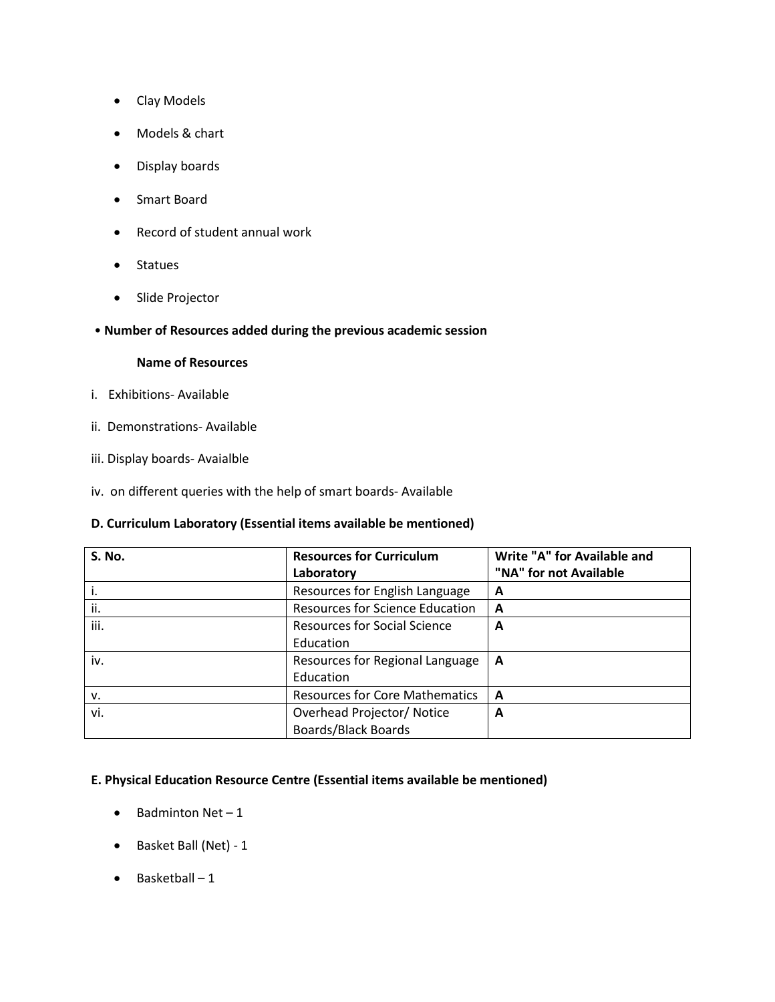- Clay Models
- Models & chart
- Display boards
- Smart Board
- Record of student annual work
- Statues
- Slide Projector
- **Number of Resources added during the previous academic session**

#### **Name of Resources**

- i. Exhibitions- Available
- ii. Demonstrations- Available
- iii. Display boards- Avaialble
- iv. on different queries with the help of smart boards- Available

#### **D. Curriculum Laboratory (Essential items available be mentioned)**

| <b>S. No.</b> | <b>Resources for Curriculum</b>        | Write "A" for Available and |  |
|---------------|----------------------------------------|-----------------------------|--|
|               | Laboratory                             | "NA" for not Available      |  |
|               | Resources for English Language         | A                           |  |
| ii.           | <b>Resources for Science Education</b> | A                           |  |
| iii.          | Resources for Social Science           | A                           |  |
|               | Education                              |                             |  |
| iv.           | Resources for Regional Language        | A                           |  |
|               | Education                              |                             |  |
| v.            | <b>Resources for Core Mathematics</b>  | A                           |  |
| vi.           | Overhead Projector/ Notice             | A                           |  |
|               | <b>Boards/Black Boards</b>             |                             |  |

## **E. Physical Education Resource Centre (Essential items available be mentioned)**

- $\bullet$  Badminton Net 1
- Basket Ball (Net) 1
- $\bullet$  Basketball 1